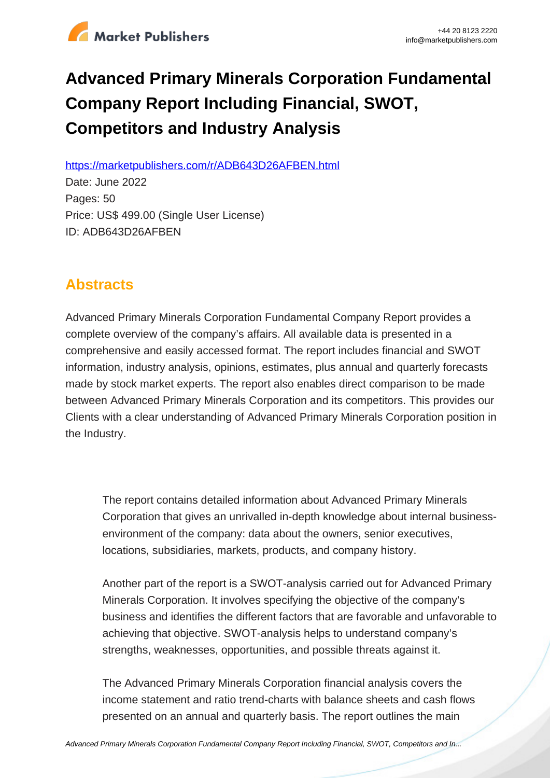

# **Advanced Primary Minerals Corporation Fundamental Company Report Including Financial, SWOT, Competitors and Industry Analysis**

https://marketpublishers.com/r/ADB643D26AFBEN.html

Date: June 2022 Pages: 50 Price: US\$ 499.00 (Single User License) ID: ADB643D26AFBEN

## **Abstracts**

Advanced Primary Minerals Corporation Fundamental Company Report provides a complete overview of the company's affairs. All available data is presented in a comprehensive and easily accessed format. The report includes financial and SWOT information, industry analysis, opinions, estimates, plus annual and quarterly forecasts made by stock market experts. The report also enables direct comparison to be made between Advanced Primary Minerals Corporation and its competitors. This provides our Clients with a clear understanding of Advanced Primary Minerals Corporation position in the Industry.

The report contains detailed information about Advanced Primary Minerals Corporation that gives an unrivalled in-depth knowledge about internal businessenvironment of the company: data about the owners, senior executives, locations, subsidiaries, markets, products, and company history.

Another part of the report is a SWOT-analysis carried out for Advanced Primary Minerals Corporation. It involves specifying the objective of the company's business and identifies the different factors that are favorable and unfavorable to achieving that objective. SWOT-analysis helps to understand company's strengths, weaknesses, opportunities, and possible threats against it.

The Advanced Primary Minerals Corporation financial analysis covers the income statement and ratio trend-charts with balance sheets and cash flows presented on an annual and quarterly basis. The report outlines the main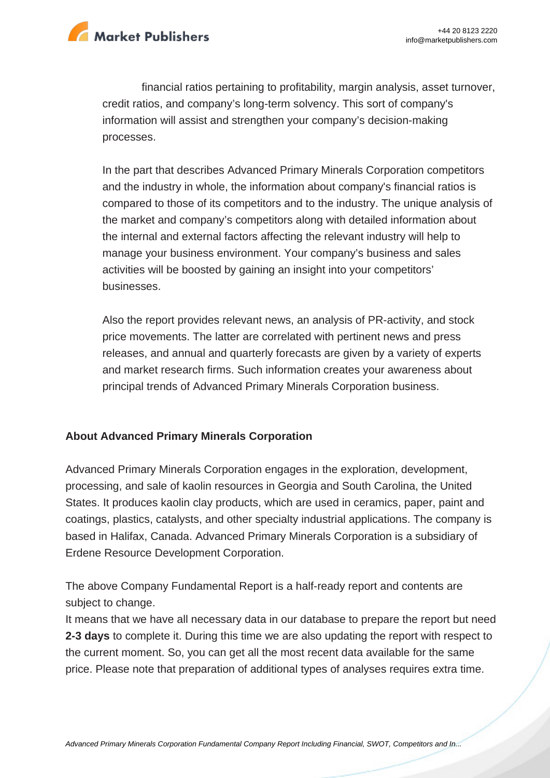

financial ratios pertaining to profitability, margin analysis, asset turnover, credit ratios, and company's long-term solvency. This sort of company's information will assist and strengthen your company's decision-making processes.

In the part that describes Advanced Primary Minerals Corporation competitors and the industry in whole, the information about company's financial ratios is compared to those of its competitors and to the industry. The unique analysis of the market and company's competitors along with detailed information about the internal and external factors affecting the relevant industry will help to manage your business environment. Your company's business and sales activities will be boosted by gaining an insight into your competitors' businesses.

Also the report provides relevant news, an analysis of PR-activity, and stock price movements. The latter are correlated with pertinent news and press releases, and annual and quarterly forecasts are given by a variety of experts and market research firms. Such information creates your awareness about principal trends of Advanced Primary Minerals Corporation business.

## **About Advanced Primary Minerals Corporation**

Advanced Primary Minerals Corporation engages in the exploration, development, processing, and sale of kaolin resources in Georgia and South Carolina, the United States. It produces kaolin clay products, which are used in ceramics, paper, paint and coatings, plastics, catalysts, and other specialty industrial applications. The company is based in Halifax, Canada. Advanced Primary Minerals Corporation is a subsidiary of Erdene Resource Development Corporation.

The above Company Fundamental Report is a half-ready report and contents are subject to change.

It means that we have all necessary data in our database to prepare the report but need **2-3 days** to complete it. During this time we are also updating the report with respect to the current moment. So, you can get all the most recent data available for the same price. Please note that preparation of additional types of analyses requires extra time.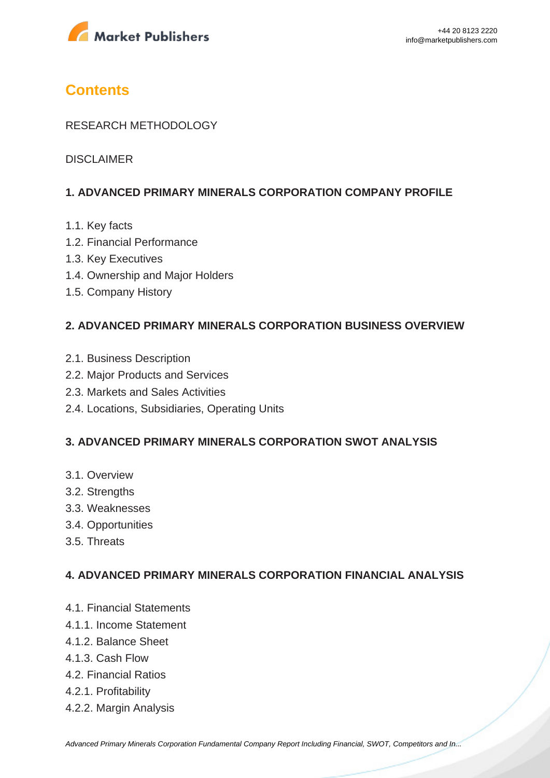

## **Contents**

### RESEARCH METHODOLOGY

DISCLAIMER

### **1. ADVANCED PRIMARY MINERALS CORPORATION COMPANY PROFILE**

- 1.1. Key facts
- 1.2. Financial Performance
- 1.3. Key Executives
- 1.4. Ownership and Major Holders
- 1.5. Company History

#### **2. ADVANCED PRIMARY MINERALS CORPORATION BUSINESS OVERVIEW**

- 2.1. Business Description
- 2.2. Major Products and Services
- 2.3. Markets and Sales Activities
- 2.4. Locations, Subsidiaries, Operating Units

#### **3. ADVANCED PRIMARY MINERALS CORPORATION SWOT ANALYSIS**

- 3.1. Overview
- 3.2. Strengths
- 3.3. Weaknesses
- 3.4. Opportunities
- 3.5. Threats

#### **4. ADVANCED PRIMARY MINERALS CORPORATION FINANCIAL ANALYSIS**

- 4.1. Financial Statements
- 4.1.1. Income Statement
- 4.1.2. Balance Sheet
- 4.1.3. Cash Flow
- 4.2. Financial Ratios
- 4.2.1. Profitability
- 4.2.2. Margin Analysis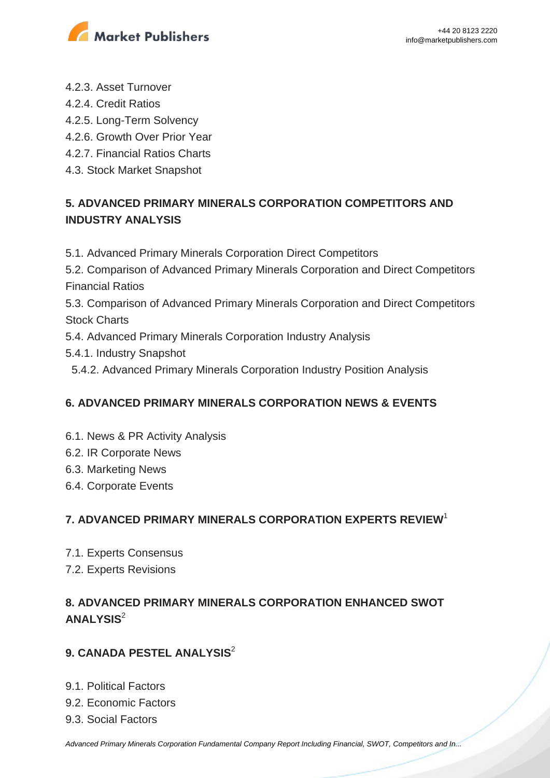

- 4.2.3. Asset Turnover
- 4.2.4. Credit Ratios
- 4.2.5. Long-Term Solvency
- 4.2.6. Growth Over Prior Year
- 4.2.7. Financial Ratios Charts
- 4.3. Stock Market Snapshot

## **5. ADVANCED PRIMARY MINERALS CORPORATION COMPETITORS AND INDUSTRY ANALYSIS**

- 5.1. Advanced Primary Minerals Corporation Direct Competitors
- 5.2. Comparison of Advanced Primary Minerals Corporation and Direct Competitors Financial Ratios

5.3. Comparison of Advanced Primary Minerals Corporation and Direct Competitors Stock Charts

- 5.4. Advanced Primary Minerals Corporation Industry Analysis
- 5.4.1. Industry Snapshot
- 5.4.2. Advanced Primary Minerals Corporation Industry Position Analysis

## **6. ADVANCED PRIMARY MINERALS CORPORATION NEWS & EVENTS**

- 6.1. News & PR Activity Analysis
- 6.2. IR Corporate News
- 6.3. Marketing News
- 6.4. Corporate Events

## **7. ADVANCED PRIMARY MINERALS CORPORATION EXPERTS REVIEW**<sup>1</sup>

- 7.1. Experts Consensus
- 7.2. Experts Revisions

## **8. ADVANCED PRIMARY MINERALS CORPORATION ENHANCED SWOT ANALYSIS**<sup>2</sup>

## **9. CANADA PESTEL ANALYSIS**<sup>2</sup>

- 9.1. Political Factors
- 9.2. Economic Factors
- 9.3. Social Factors

[Advanced Primary Minerals Corporation Fundamental Company Report Including Financial, SWOT, Competitors and In...](https://marketpublishers.com/report/industry/metallurgy/advanced_primary_minerals_corporation_swot_analysis_bac.html)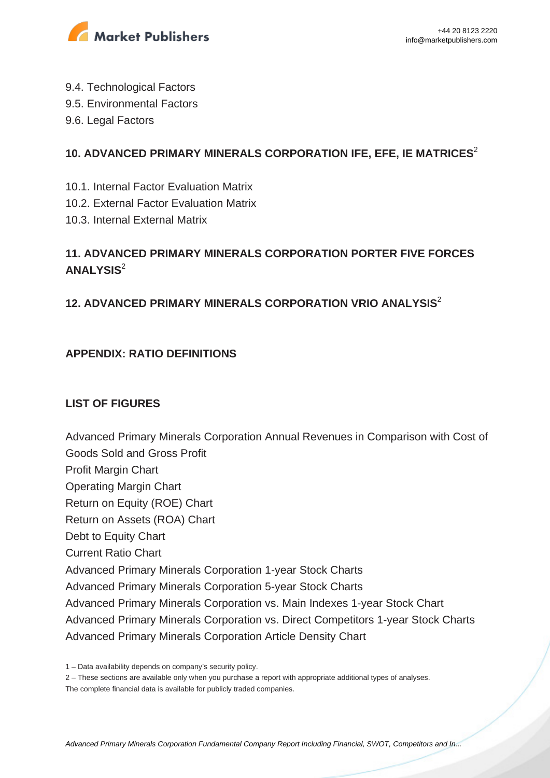

- 9.4. Technological Factors
- 9.5. Environmental Factors
- 9.6. Legal Factors

## **10. ADVANCED PRIMARY MINERALS CORPORATION IFE, EFE, IE MATRICES**<sup>2</sup>

- 10.1. Internal Factor Evaluation Matrix
- 10.2. External Factor Evaluation Matrix
- 10.3. Internal External Matrix

## **11. ADVANCED PRIMARY MINERALS CORPORATION PORTER FIVE FORCES ANALYSIS**<sup>2</sup>

## **12. ADVANCED PRIMARY MINERALS CORPORATION VRIO ANALYSIS**<sup>2</sup>

## **APPENDIX: RATIO DEFINITIONS**

## **LIST OF FIGURES**

Advanced Primary Minerals Corporation Annual Revenues in Comparison with Cost of Goods Sold and Gross Profit Profit Margin Chart Operating Margin Chart Return on Equity (ROE) Chart Return on Assets (ROA) Chart Debt to Equity Chart Current Ratio Chart Advanced Primary Minerals Corporation 1-year Stock Charts Advanced Primary Minerals Corporation 5-year Stock Charts Advanced Primary Minerals Corporation vs. Main Indexes 1-year Stock Chart Advanced Primary Minerals Corporation vs. Direct Competitors 1-year Stock Charts Advanced Primary Minerals Corporation Article Density Chart

2 – These sections are available only when you purchase a report with appropriate additional types of analyses.

The complete financial data is available for publicly traded companies.

<sup>1 –</sup> Data availability depends on company's security policy.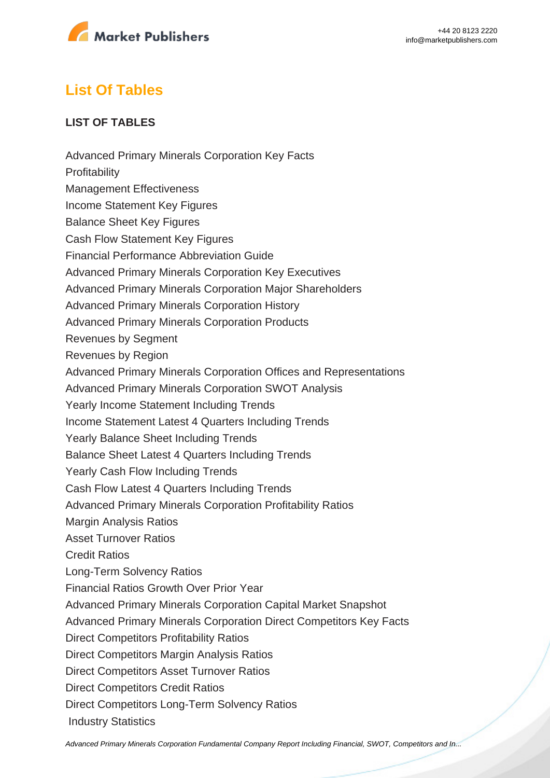

## **List Of Tables**

## **LIST OF TABLES**

Advanced Primary Minerals Corporation Key Facts **Profitability** Management Effectiveness Income Statement Key Figures Balance Sheet Key Figures Cash Flow Statement Key Figures Financial Performance Abbreviation Guide Advanced Primary Minerals Corporation Key Executives Advanced Primary Minerals Corporation Major Shareholders Advanced Primary Minerals Corporation History Advanced Primary Minerals Corporation Products Revenues by Segment Revenues by Region Advanced Primary Minerals Corporation Offices and Representations Advanced Primary Minerals Corporation SWOT Analysis Yearly Income Statement Including Trends Income Statement Latest 4 Quarters Including Trends Yearly Balance Sheet Including Trends Balance Sheet Latest 4 Quarters Including Trends Yearly Cash Flow Including Trends Cash Flow Latest 4 Quarters Including Trends Advanced Primary Minerals Corporation Profitability Ratios Margin Analysis Ratios Asset Turnover Ratios Credit Ratios Long-Term Solvency Ratios Financial Ratios Growth Over Prior Year Advanced Primary Minerals Corporation Capital Market Snapshot Advanced Primary Minerals Corporation Direct Competitors Key Facts Direct Competitors Profitability Ratios Direct Competitors Margin Analysis Ratios Direct Competitors Asset Turnover Ratios Direct Competitors Credit Ratios Direct Competitors Long-Term Solvency Ratios Industry Statistics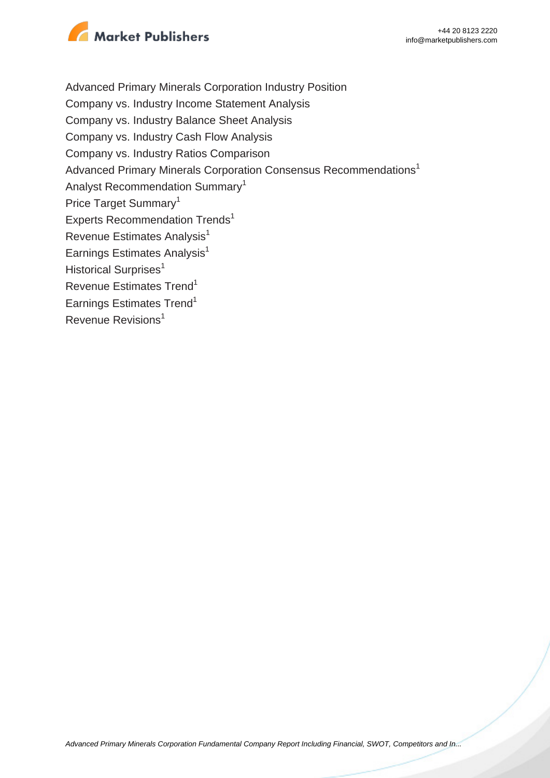

Advanced Primary Minerals Corporation Industry Position Company vs. Industry Income Statement Analysis Company vs. Industry Balance Sheet Analysis Company vs. Industry Cash Flow Analysis Company vs. Industry Ratios Comparison Advanced Primary Minerals Corporation Consensus Recommendations<sup>1</sup> Analyst Recommendation Summary<sup>1</sup> Price Target Summary<sup>1</sup> Experts Recommendation Trends<sup>1</sup> Revenue Estimates Analysis<sup>1</sup> Earnings Estimates Analysis $<sup>1</sup>$ </sup> Historical Surprises<sup>1</sup> Revenue Estimates Trend<sup>1</sup> Earnings Estimates Trend<sup>1</sup> Revenue Revisions<sup>1</sup>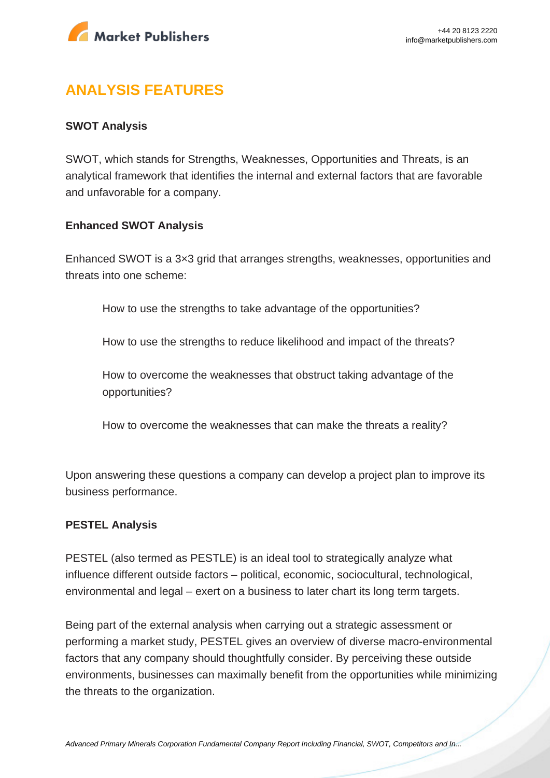

## **ANALYSIS FEATURES**

#### **SWOT Analysis**

SWOT, which stands for Strengths, Weaknesses, Opportunities and Threats, is an analytical framework that identifies the internal and external factors that are favorable and unfavorable for a company.

#### **Enhanced SWOT Analysis**

Enhanced SWOT is a 3×3 grid that arranges strengths, weaknesses, opportunities and threats into one scheme:

How to use the strengths to take advantage of the opportunities?

How to use the strengths to reduce likelihood and impact of the threats?

How to overcome the weaknesses that obstruct taking advantage of the opportunities?

How to overcome the weaknesses that can make the threats a reality?

Upon answering these questions a company can develop a project plan to improve its business performance.

#### **PESTEL Analysis**

PESTEL (also termed as PESTLE) is an ideal tool to strategically analyze what influence different outside factors – political, economic, sociocultural, technological, environmental and legal – exert on a business to later chart its long term targets.

Being part of the external analysis when carrying out a strategic assessment or performing a market study, PESTEL gives an overview of diverse macro-environmental factors that any company should thoughtfully consider. By perceiving these outside environments, businesses can maximally benefit from the opportunities while minimizing the threats to the organization.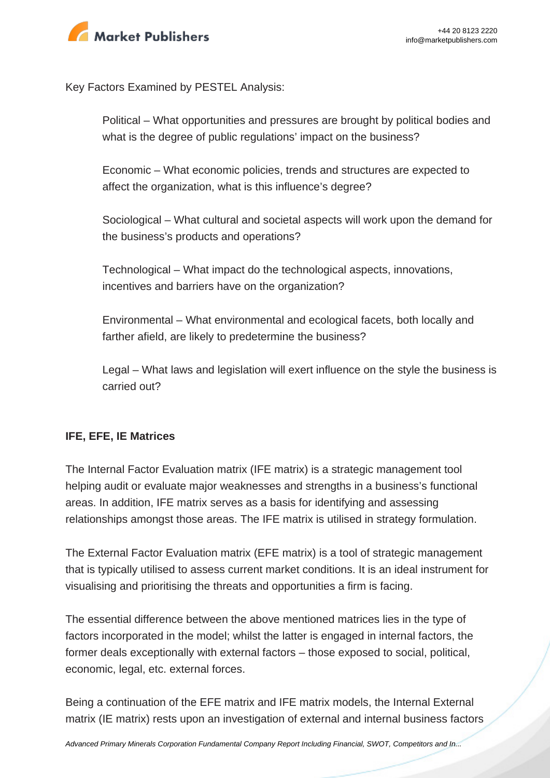

Key Factors Examined by PESTEL Analysis:

Political – What opportunities and pressures are brought by political bodies and what is the degree of public regulations' impact on the business?

Economic – What economic policies, trends and structures are expected to affect the organization, what is this influence's degree?

Sociological – What cultural and societal aspects will work upon the demand for the business's products and operations?

Technological – What impact do the technological aspects, innovations, incentives and barriers have on the organization?

Environmental – What environmental and ecological facets, both locally and farther afield, are likely to predetermine the business?

Legal – What laws and legislation will exert influence on the style the business is carried out?

## **IFE, EFE, IE Matrices**

The Internal Factor Evaluation matrix (IFE matrix) is a strategic management tool helping audit or evaluate major weaknesses and strengths in a business's functional areas. In addition, IFE matrix serves as a basis for identifying and assessing relationships amongst those areas. The IFE matrix is utilised in strategy formulation.

The External Factor Evaluation matrix (EFE matrix) is a tool of strategic management that is typically utilised to assess current market conditions. It is an ideal instrument for visualising and prioritising the threats and opportunities a firm is facing.

The essential difference between the above mentioned matrices lies in the type of factors incorporated in the model; whilst the latter is engaged in internal factors, the former deals exceptionally with external factors – those exposed to social, political, economic, legal, etc. external forces.

Being a continuation of the EFE matrix and IFE matrix models, the Internal External matrix (IE matrix) rests upon an investigation of external and internal business factors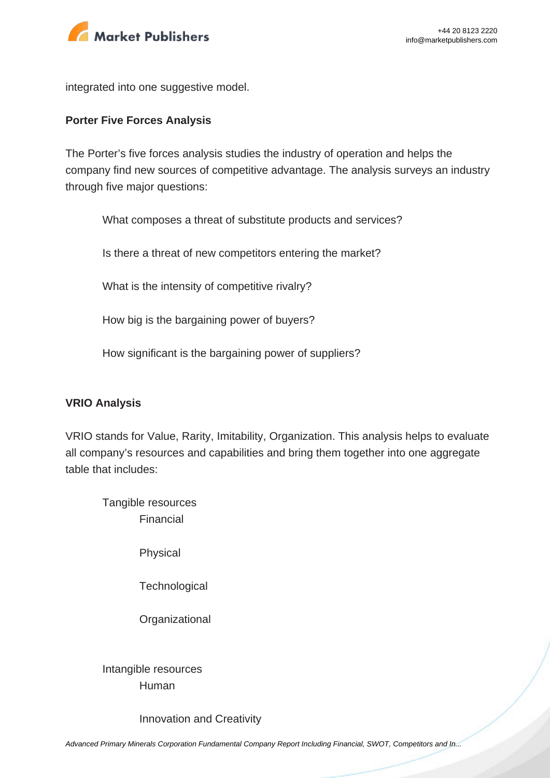

integrated into one suggestive model.

#### **Porter Five Forces Analysis**

The Porter's five forces analysis studies the industry of operation and helps the company find new sources of competitive advantage. The analysis surveys an industry through five major questions:

What composes a threat of substitute products and services?

Is there a threat of new competitors entering the market?

What is the intensity of competitive rivalry?

How big is the bargaining power of buyers?

How significant is the bargaining power of suppliers?

#### **VRIO Analysis**

VRIO stands for Value, Rarity, Imitability, Organization. This analysis helps to evaluate all company's resources and capabilities and bring them together into one aggregate table that includes:

Tangible resources Financial

Physical

**Technological** 

**Organizational** 

Intangible resources Human

Innovation and Creativity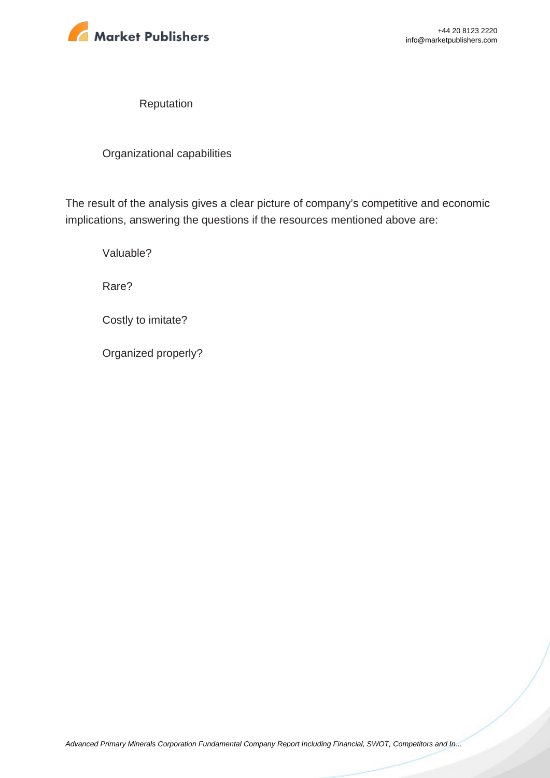

Reputation

Organizational capabilities

The result of the analysis gives a clear picture of company's competitive and economic implications, answering the questions if the resources mentioned above are:

Valuable?

Rare?

Costly to imitate?

Organized properly?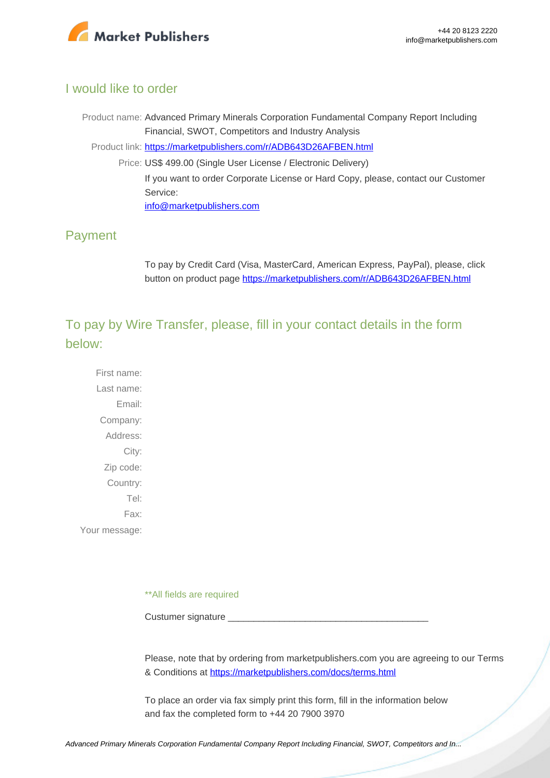

## I would like to order

Product name: Advanced Primary Minerals Corporation Fundamental Company Report Including Financial, SWOT, Competitors and Industry Analysis Product link: [https://marketpublishers.com/r/ADB643D26AFBEN.html](https://marketpublishers.com/report/industry/metallurgy/advanced_primary_minerals_corporation_swot_analysis_bac.html) Price: US\$ 499.00 (Single User License / Electronic Delivery) If you want to order Corporate License or Hard Copy, please, contact our Customer Service: [info@marketpublishers.com](mailto:info@marketpublishers.com)

## Payment

To pay by Credit Card (Visa, MasterCard, American Express, PayPal), please, click button on product page [https://marketpublishers.com/r/ADB643D26AFBEN.html](https://marketpublishers.com/report/industry/metallurgy/advanced_primary_minerals_corporation_swot_analysis_bac.html)

To pay by Wire Transfer, please, fill in your contact details in the form below:

First name: Last name: Email: Company: Address: City: Zip code: Country: Tel: Fax: Your message:

\*\*All fields are required

Custumer signature

Please, note that by ordering from marketpublishers.com you are agreeing to our Terms & Conditions at<https://marketpublishers.com/docs/terms.html>

To place an order via fax simply print this form, fill in the information below and fax the completed form to +44 20 7900 3970